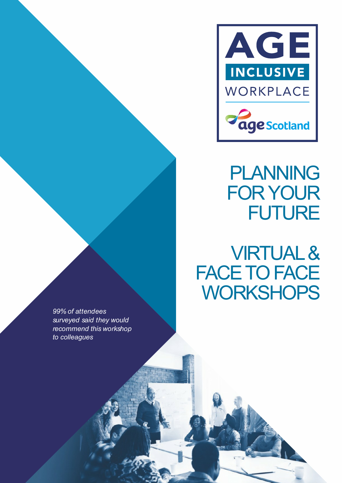

# PLANNING FOR YOUR **FUTURE**

VIRTUAL & FACE TO FACE **WORKSHOPS** 

*99% of attendees surveyed said they would recommend this workshop to colleagues*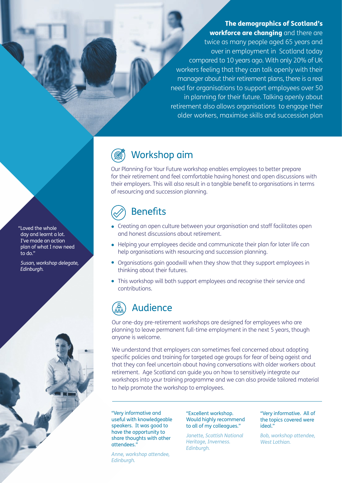**The demographics of Scotland's workforce are changing** and there are twice as many people aged 65 years and over in employment in Scotland today compared to 10 years ago. With only 20% of UK workers feeling that they can talk openly with their manager about their retirement plans, there is a real need for organisations to support employees over 50 in planning for their future. Talking openly about retirement also allows organisations to engage their older workers, maximise skills and succession plan

## Workshop aim

Our Planning For Your Future workshop enables employees to better prepare for their retirement and feel comfortable having honest and open discussions with their employers. This will also result in a tangible benefit to organisations in terms of resourcing and succession planning.

## **Benefits**

- Creating an open culture between your organisation and staff facilitates open and honest discussions about retirement.
- Helping your employees decide and communicate their plan for later life can help organisations with resourcing and succession planning.
- Organisations gain goodwill when they show that they support employees in thinking about their futures.
- This workshop will both support employees and recognise their service and contributions.

## Audience

Our one-day pre-retirement workshops are designed for employees who are planning to leave permanent full-time employment in the next 5 years, though anyone is welcome.

We understand that employers can sometimes feel concerned about adopting specific policies and training for targeted age groups for fear of being ageist and that they can feel uncertain about having conversations with older workers about retirement. Age Scotland can guide you on how to sensitively integrate our workshops into your training programme and we can also provide tailored material to help promote the workshop to employees.

"Very informative and useful with knowledgeable speakers. It was good to have the opportunity to share thoughts with other attendees."

*Anne, workshop attendee, Edinburgh.*

### "Excellent workshop. Would highly recommend to all of my colleagues."

*Janette, Scottish National Heritage, Inverness. Edinburgh.*

"Very informative. All of the topics covered were ideal."

*Bob, workshop attendee, West Lothian.*

"Loved the whole day and learnt a lot. I've made an action plan of what I now need to do."

*Susan, workshop delegate, Edinburgh.*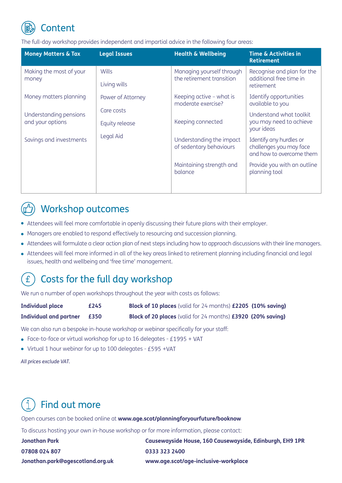

The full-day workshop provides independent and impartial advice in the following four areas:

| <b>Money Matters &amp; Tax</b>             | <b>Legal Issues</b>          | <b>Health &amp; Wellbeing</b>                          | <b>Time &amp; Activities in</b><br><b>Retirement</b>                           |
|--------------------------------------------|------------------------------|--------------------------------------------------------|--------------------------------------------------------------------------------|
| Making the most of your<br>money           | <b>Wills</b><br>Living wills | Managing yourself through<br>the retirement transition | Recognise and plan for the<br>additional free time in<br>retirement            |
| Money matters planning                     | Power of Attorney            | Keeping active - what is<br>moderate exercise?         | Identify opportunities<br>available to you                                     |
| Understanding pensions<br>and your options | Care costs<br>Equity release | Keeping connected                                      | Understand what toolkit<br>you may need to achieve<br>your ideas               |
| Savings and investments                    | Legal Aid                    | Understanding the impact<br>of sedentary behaviours    | Identify any hurdles or<br>challenges you may face<br>and how to overcome them |
|                                            |                              | Maintaining strength and<br>balance                    | Provide you with an outline<br>planning tool                                   |
|                                            |                              |                                                        |                                                                                |

### Workshop outcomes

- Attendees will feel more comfortable in openly discussing their future plans with their employer.
- Managers are enabled to respond effectively to resourcing and succession planning.
- Attendees will formulate a clear action plan of next steps including how to approach discussions with their line managers.
- Attendees will feel more informed in all of the key areas linked to retirement planning including financial and legal issues, health and wellbeing and 'free time' management.

#### Costs for the full day workshop  $\mathbf{f}$

We run a number of open workshops throughout the year with costs as follows:

| <b>Individual place</b>       | £245 | <b>Block of 10 places</b> (valid for 24 months) £2205 (10% saving) |
|-------------------------------|------|--------------------------------------------------------------------|
| <b>Individual and partner</b> | £350 | <b>Block of 20 places</b> (valid for 24 months) £3920 (20% saving) |

We can also run a bespoke in-house workshop or webinar specifically for your staff:

- Face-to-face or virtual workshop for up to 16 delegates £1995 + VAT
- $\bullet$  Virtual 1 hour webinar for up to 100 delegates £595 +VAT

*All prices exclude VAT.*

## Find out more

Open courses can be booked online at **www.age.scot/planningforyourfuture/booknow**

To discuss hosting your own in-house workshop or for more information, please contact:

**07808 024 807 0333 323 2400 Jonathan.park@agescotland.org.uk www.age.scot/age-inclusive-workplace**

**Jonathan Park Causewayside House, 160 Causewayside, Edinburgh, EH9 1PR**